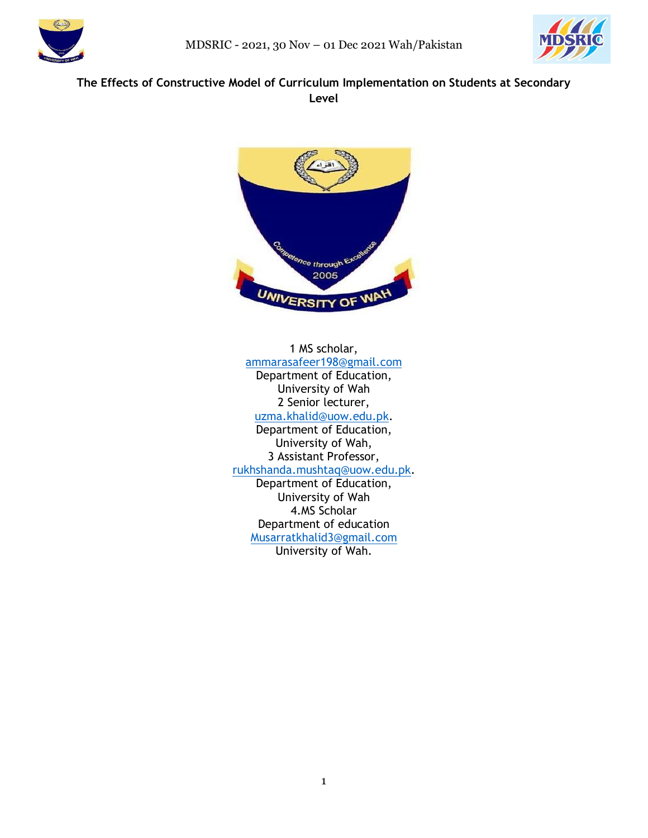



# **The Effects of Constructive Model of Curriculum Implementation on Students at Secondary Level**



1 MS scholar, [ammarasafeer198@gmail.com](mailto:ammarasafeer198@gmail.com) Department of Education, University of Wah 2 Senior lecturer, [uzma.khalid@uow.edu.pk.](mailto:uzma.khalid@uow.edu.pk) Department of Education, University of Wah, 3 Assistant Professor, [rukhshanda.mushtaq@uow.edu.pk.](mailto:rukhshanda.mushtaq@uow.edu.pk) Department of Education, University of Wah 4.MS Scholar Department of education [Musarratkhalid3@gmail.com](mailto:Musarratkhalid3@gmail.com)

University of Wah.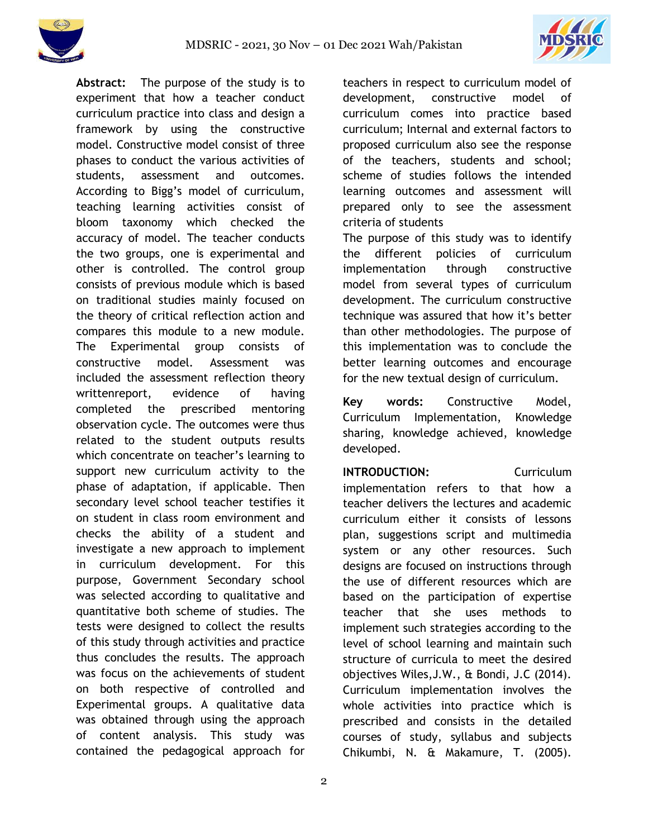



**Abstract:** The purpose of the study is to experiment that how a teacher conduct curriculum practice into class and design a framework by using the constructive model. Constructive model consist of three phases to conduct the various activities of students, assessment and outcomes. According to Bigg's model of curriculum, teaching learning activities consist of bloom taxonomy which checked the accuracy of model. The teacher conducts the two groups, one is experimental and other is controlled. The control group consists of previous module which is based on traditional studies mainly focused on the theory of critical reflection action and compares this module to a new module. The Experimental group consists of constructive model. Assessment was included the assessment reflection theory writtenreport, evidence of having completed the prescribed mentoring observation cycle. The outcomes were thus related to the student outputs results which concentrate on teacher's learning to support new curriculum activity to the phase of adaptation, if applicable. Then secondary level school teacher testifies it on student in class room environment and checks the ability of a student and investigate a new approach to implement in curriculum development. For this purpose, Government Secondary school was selected according to qualitative and quantitative both scheme of studies. The tests were designed to collect the results of this study through activities and practice thus concludes the results. The approach was focus on the achievements of student on both respective of controlled and Experimental groups. A qualitative data was obtained through using the approach of content analysis. This study was contained the pedagogical approach for

teachers in respect to curriculum model of development, constructive model of curriculum comes into practice based curriculum; Internal and external factors to proposed curriculum also see the response of the teachers, students and school; scheme of studies follows the intended learning outcomes and assessment will prepared only to see the assessment criteria of students

The purpose of this study was to identify the different policies of curriculum implementation through constructive model from several types of curriculum development. The curriculum constructive technique was assured that how it's better than other methodologies. The purpose of this implementation was to conclude the better learning outcomes and encourage for the new textual design of curriculum.

**Key words:** Constructive Model, Curriculum Implementation, Knowledge sharing, knowledge achieved, knowledge developed.

**INTRODUCTION:** Curriculum implementation refers to that how a teacher delivers the lectures and academic curriculum either it consists of lessons plan, suggestions script and multimedia system or any other resources. Such designs are focused on instructions through the use of different resources which are based on the participation of expertise teacher that she uses methods to implement such strategies according to the level of school learning and maintain such structure of curricula to meet the desired objectives Wiles,J.W., & Bondi, J.C (2014). Curriculum implementation involves the whole activities into practice which is prescribed and consists in the detailed courses of study, syllabus and subjects Chikumbi, N. & Makamure, T. (2005).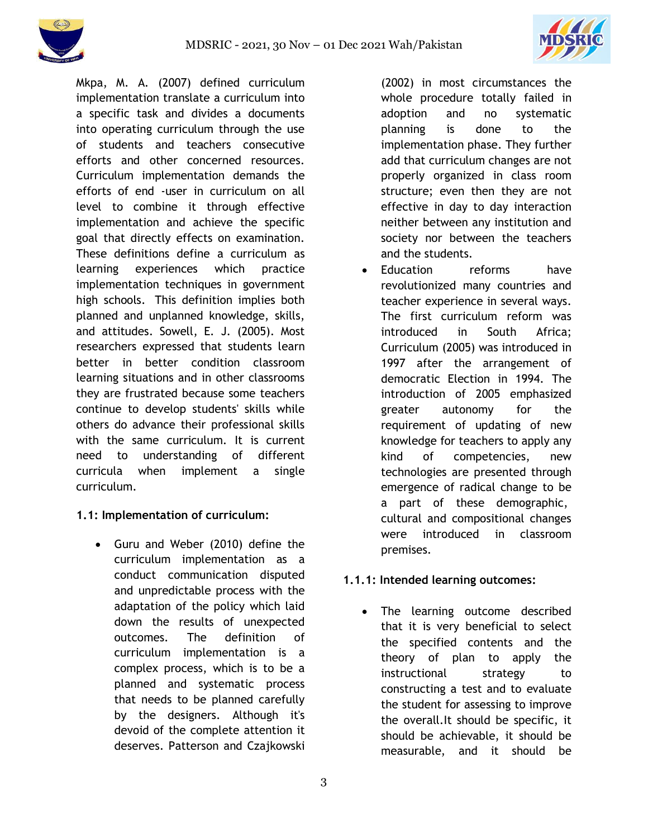



Mkpa, M. A. (2007) defined curriculum implementation translate a curriculum into a specific task and divides a documents into operating curriculum through the use of students and teachers consecutive efforts and other concerned resources. Curriculum implementation demands the efforts of end -user in curriculum on all level to combine it through effective implementation and achieve the specific goal that directly effects on examination. These definitions define a curriculum as learning experiences which practice implementation techniques in government high schools. This definition implies both planned and unplanned knowledge, skills, and attitudes. Sowell, E. J. (2005). Most researchers expressed that students learn better in better condition classroom learning situations and in other classrooms they are frustrated because some teachers continue to develop students' skills while others do advance their professional skills with the same curriculum. It is current need to understanding of different curricula when implement a single curriculum.

## **1.1: Implementation of curriculum:**

 Guru and Weber (2010) define the curriculum implementation as a conduct communication disputed and unpredictable process with the adaptation of the policy which laid down the results of unexpected outcomes. The definition of curriculum implementation is a complex process, which is to be a planned and systematic process that needs to be planned carefully by the designers. Although it's devoid of the complete attention it deserves. Patterson and Czajkowski

(2002) in most circumstances the whole procedure totally failed in adoption and no systematic planning is done to the implementation phase. They further add that curriculum changes are not properly organized in class room structure; even then they are not effective in day to day interaction neither between any institution and society nor between the teachers and the students.

 Education reforms have revolutionized many countries and teacher experience in several ways. The first curriculum reform was introduced in South Africa; Curriculum (2005) was introduced in 1997 after the arrangement of democratic Election in 1994. The introduction of 2005 emphasized greater autonomy for the requirement of updating of new knowledge for teachers to apply any kind of competencies, new technologies are presented through emergence of radical change to be a part of these demographic, cultural and compositional changes were introduced in classroom premises.

## **1.1.1: Intended learning outcomes:**

 The learning outcome described that it is very beneficial to select the specified contents and the theory of plan to apply the instructional strategy to constructing a test and to evaluate the student for assessing to improve the overall.It should be specific, it should be achievable, it should be measurable, and it should be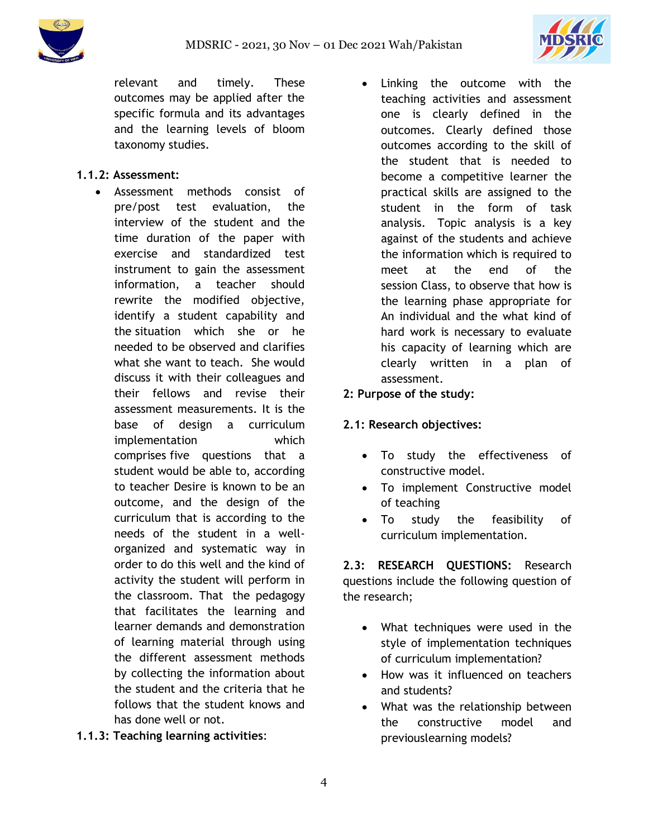

relevant and timely. These outcomes may be applied after the specific formula and its advantages and the learning levels of bloom taxonomy studies.

## **1.1.2: Assessment:**

- Assessment methods consist of pre/post test evaluation, the interview of the student and the time duration of the paper with exercise and standardized test instrument to gain the assessment information, a teacher should rewrite the modified objective, identify a student capability and the situation which she or he needed to be observed and clarifies what she want to teach. She would discuss it with their colleagues and their fellows and revise their assessment measurements. It is the base of design a curriculum implementation which comprises five questions that a student would be able to, according to teacher Desire is known to be an outcome, and the design of the curriculum that is according to the needs of the student in a wellorganized and systematic way in order to do this well and the kind of activity the student will perform in the classroom. That the pedagogy that facilitates the learning and learner demands and demonstration of learning material through using the different assessment methods by collecting the information about the student and the criteria that he follows that the student knows and has done well or not.
- **1.1.3: Teaching learning activities**:

 Linking the outcome with the teaching activities and assessment one is clearly defined in the outcomes. Clearly defined those outcomes according to the skill of the student that is needed to become a competitive learner the practical skills are assigned to the student in the form of task analysis. Topic analysis is a key against of the students and achieve the information which is required to meet at the end of the session Class, to observe that how is the learning phase appropriate for An individual and the what kind of hard work is necessary to evaluate his capacity of learning which are clearly written in a plan of assessment.

## **2: Purpose of the study:**

## **2.1: Research objectives:**

- To study the effectiveness of constructive model.
- To implement Constructive model of teaching
- To study the feasibility of curriculum implementation.

**2.3: RESEARCH QUESTIONS:** Research questions include the following question of the research;

- What techniques were used in the style of implementation techniques of curriculum implementation?
- How was it influenced on teachers and students?
- What was the relationship between the constructive model and previouslearning models?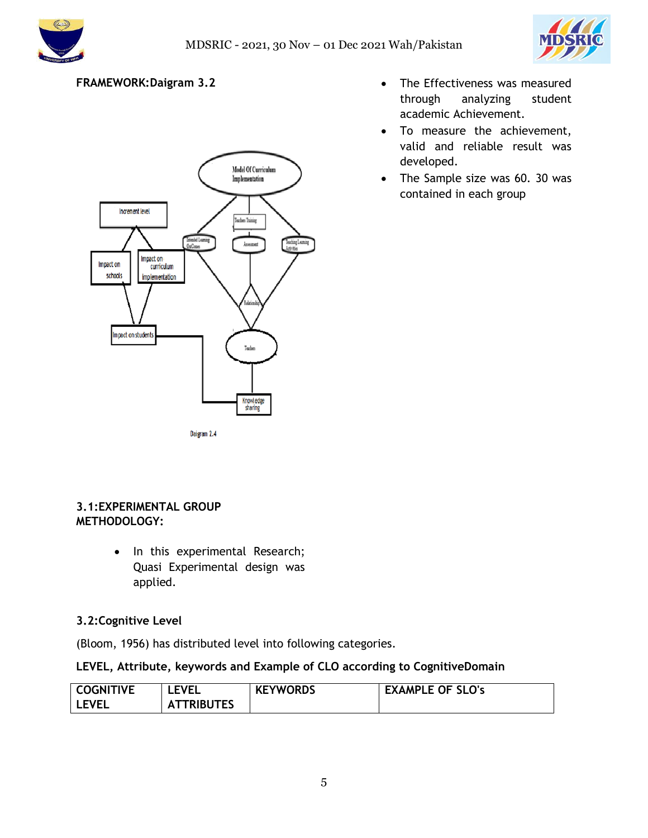



## **FRAMEWORK:Daigram 3.2**



- The Effectiveness was measured through analyzing student academic Achievement.
- To measure the achievement, valid and reliable result was developed.
- The Sample size was 60. 30 was contained in each group

#### **3.1:EXPERIMENTAL GROUP METHODOLOGY:**

• In this experimental Research; Quasi Experimental design was applied.

## **3.2:Cognitive Level**

(Bloom, 1956) has distributed level into following categories.

## **LEVEL, Attribute, keywords and Example of CLO according to CognitiveDomain**

| <b>COGNITIVE</b> | <b>EVEL</b>       | <b>KEYWORDS</b> | <b>EXAMPLE OF SLO's</b> |
|------------------|-------------------|-----------------|-------------------------|
| <b>LEVEL</b>     | <b>ATTRIBUTES</b> |                 |                         |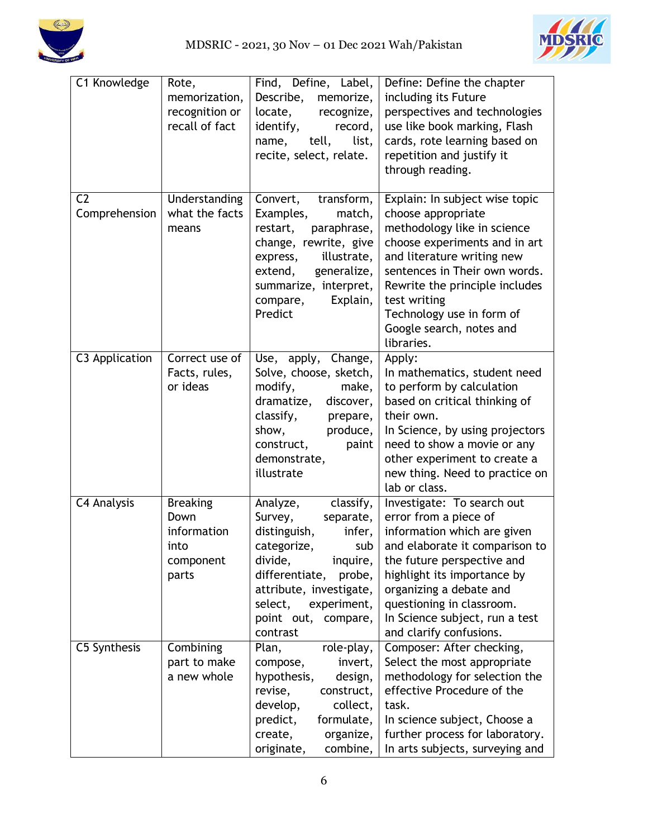



| C1 Knowledge                    | Rote,<br>memorization,<br>recognition or<br>recall of fact           | Find, Define, Label,<br>Describe,<br>memorize,<br>locate,<br>recognize,<br>identify,<br>record,<br>tell,<br>name,<br>list,<br>recite, select, relate.                                                                                   | Define: Define the chapter<br>including its Future<br>perspectives and technologies<br>use like book marking, Flash<br>cards, rote learning based on<br>repetition and justify it<br>through reading.                                                                                                        |
|---------------------------------|----------------------------------------------------------------------|-----------------------------------------------------------------------------------------------------------------------------------------------------------------------------------------------------------------------------------------|--------------------------------------------------------------------------------------------------------------------------------------------------------------------------------------------------------------------------------------------------------------------------------------------------------------|
| C <sub>2</sub><br>Comprehension | Understanding<br>what the facts<br>means                             | Convert,<br>transform,<br>Examples,<br>match,<br>restart,<br>paraphrase,<br>change, rewrite, give<br>illustrate,<br>express,<br>generalize,<br>extend,<br>summarize, interpret,<br>compare,<br>Explain,<br>Predict                      | Explain: In subject wise topic<br>choose appropriate<br>methodology like in science<br>choose experiments and in art<br>and literature writing new<br>sentences in Their own words.<br>Rewrite the principle includes<br>test writing<br>Technology use in form of<br>Google search, notes and<br>libraries. |
| C3 Application                  | Correct use $of$<br>Facts, rules,<br>or ideas                        | Use, apply, Change,<br>Solve, choose, sketch,<br>modify,<br>make,<br>dramatize,<br>discover,<br>classify,<br>prepare,<br>show,<br>produce,<br>construct,<br>paint<br>demonstrate,<br>illustrate                                         | Apply:<br>In mathematics, student need<br>to perform by calculation<br>based on critical thinking of<br>their own.<br>In Science, by using projectors<br>need to show a movie or any<br>other experiment to create a<br>new thing. Need to practice on<br>lab or class.                                      |
| C4 Analysis                     | <b>Breaking</b><br>Down<br>information<br>into<br>component<br>parts | classify,<br>Analyze,<br>Survey,<br>separate,<br>distinguish,<br>infer,<br>categorize,<br>sub l<br>divide,<br>inquire,<br>differentiate, probe,<br>attribute, investigate,<br>select,<br>experiment,<br>point out, compare,<br>contrast | Investigate: To search out<br>error from a piece of<br>information which are given<br>and elaborate it comparison to<br>the future perspective and<br>highlight its importance by<br>organizing a debate and<br>questioning in classroom.<br>In Science subject, run a test<br>and clarify confusions.       |
| C5 Synthesis                    | Combining<br>part to make<br>a new whole                             | Plan,<br>role-play,<br>compose,<br>invert,<br>hypothesis,<br>design,<br>revise,<br>construct,<br>collect,<br>develop,<br>formulate,<br>predict,<br>create,<br>organize,<br>combine,<br>originate,                                       | Composer: After checking,<br>Select the most appropriate<br>methodology for selection the<br>effective Procedure of the<br>task.<br>In science subject, Choose a<br>further process for laboratory.<br>In arts subjects, surveying and                                                                       |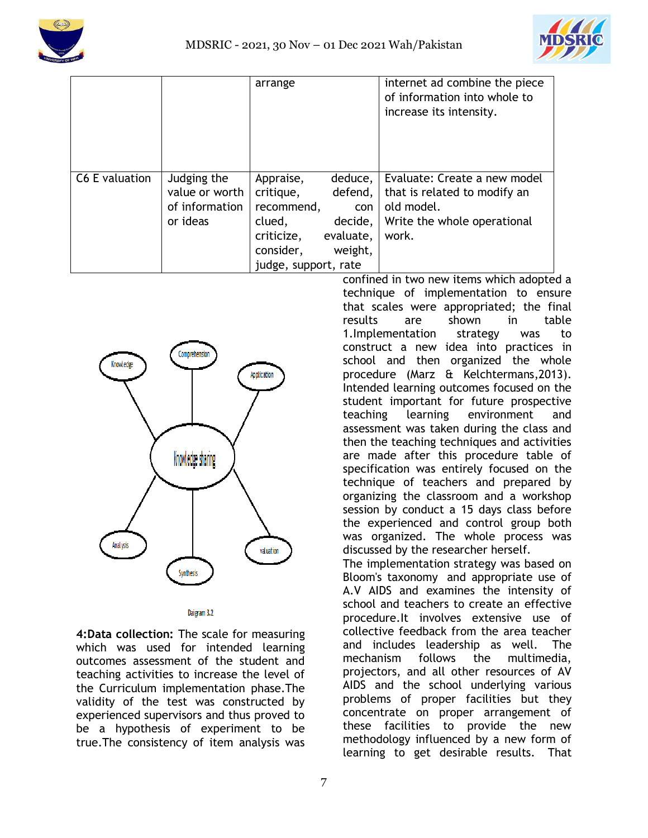



|                |                               | arrange                |                    | internet ad combine the piece<br>of information into whole to<br>increase its intensity. |
|----------------|-------------------------------|------------------------|--------------------|------------------------------------------------------------------------------------------|
| C6 E valuation | Judging the<br>value or worth | Appraise,<br>critique, | deduce,<br>defend, | Evaluate: Create a new model<br>that is related to modify an                             |
|                | of information                | recommend,             | con                | old model.                                                                               |
|                | or ideas                      | clued,                 | decide,            | Write the whole operational                                                              |
|                |                               | criticize,             | evaluate,          | work.                                                                                    |
|                |                               | consider,              | weight,            |                                                                                          |
|                |                               | judge, support, rate   |                    |                                                                                          |



Daigram 3.2

**4:Data collection:** The scale for measuring which was used for intended learning outcomes assessment of the student and teaching activities to increase the level of the Curriculum implementation phase.The validity of the test was constructed by experienced supervisors and thus proved to be a hypothesis of experiment to be true.The consistency of item analysis was

confined in two new items which adopted a technique of implementation to ensure that scales were appropriated; the final results are shown in table 1.Implementation strategy was to construct a new idea into practices in school and then organized the whole procedure (Marz & Kelchtermans,2013). Intended learning outcomes focused on the student important for future prospective teaching learning environment and assessment was taken during the class and then the teaching techniques and activities are made after this procedure table of specification was entirely focused on the technique of teachers and prepared by organizing the classroom and a workshop session by conduct a 15 days class before the experienced and control group both was organized. The whole process was discussed by the researcher herself. The implementation strategy was based on

Bloom's taxonomy and appropriate use of A.V AIDS and examines the intensity of school and teachers to create an effective procedure.It involves extensive use of collective feedback from the area teacher and includes leadership as well. The mechanism follows the multimedia, projectors, and all other resources of AV AIDS and the school underlying various problems of proper facilities but they concentrate on proper arrangement of these facilities to provide the new methodology influenced by a new form of learning to get desirable results. That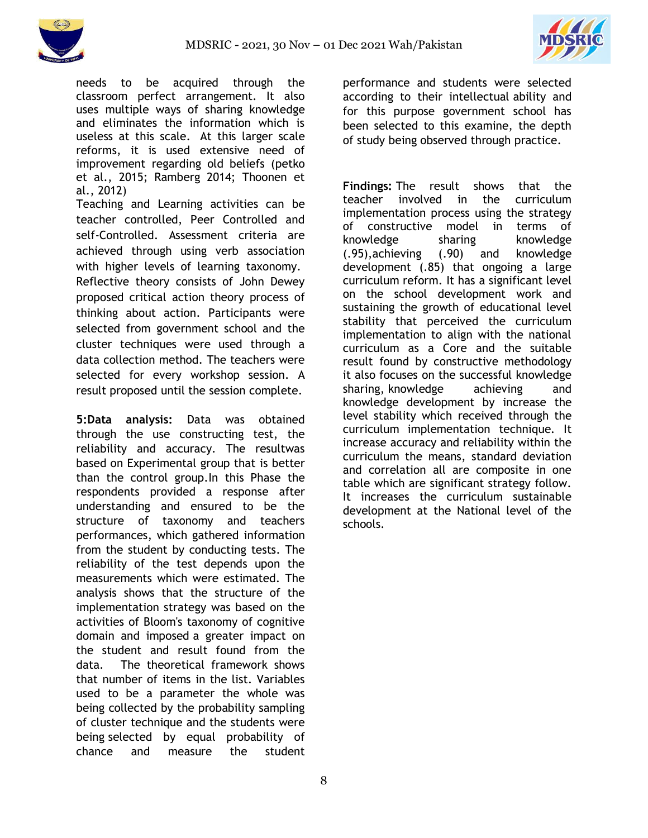



needs to be acquired through the classroom perfect arrangement. It also uses multiple ways of sharing knowledge and eliminates the information which is useless at this scale. At this larger scale reforms, it is used extensive need of improvement regarding old beliefs (petko et al., 2015; Ramberg 2014; Thoonen et al., 2012)

Teaching and Learning activities can be teacher controlled, Peer Controlled and self-Controlled. Assessment criteria are achieved through using verb association with higher levels of learning taxonomy. Reflective theory consists of John Dewey proposed critical action theory process of thinking about action. Participants were selected from government school and the cluster techniques were used through a data collection method. The teachers were selected for every workshop session. A result proposed until the session complete.

**5:Data analysis:** Data was obtained through the use constructing test, the reliability and accuracy. The resultwas based on Experimental group that is better than the control group.In this Phase the respondents provided a response after understanding and ensured to be the structure of taxonomy and teachers performances, which gathered information from the student by conducting tests. The reliability of the test depends upon the measurements which were estimated. The analysis shows that the structure of the implementation strategy was based on the activities of Bloom's taxonomy of cognitive domain and imposed a greater impact on the student and result found from the data. The theoretical framework shows that number of items in the list. Variables used to be a parameter the whole was being collected by the probability sampling of cluster technique and the students were being selected by equal probability of chance and measure the student

performance and students were selected according to their intellectual ability and for this purpose government school has been selected to this examine, the depth of study being observed through practice.

**Findings:** The result shows that the teacher involved in the curriculum implementation process using the strategy of constructive model in terms of knowledge sharing knowledge (.95),achieving (.90) and knowledge development (.85) that ongoing a large curriculum reform. It has a significant level on the school development work and sustaining the growth of educational level stability that perceived the curriculum implementation to align with the national curriculum as a Core and the suitable result found by constructive methodology it also focuses on the successful knowledge sharing, knowledge achieving and knowledge development by increase the level stability which received through the curriculum implementation technique. It increase accuracy and reliability within the curriculum the means, standard deviation and correlation all are composite in one table which are significant strategy follow. It increases the curriculum sustainable development at the National level of the schools.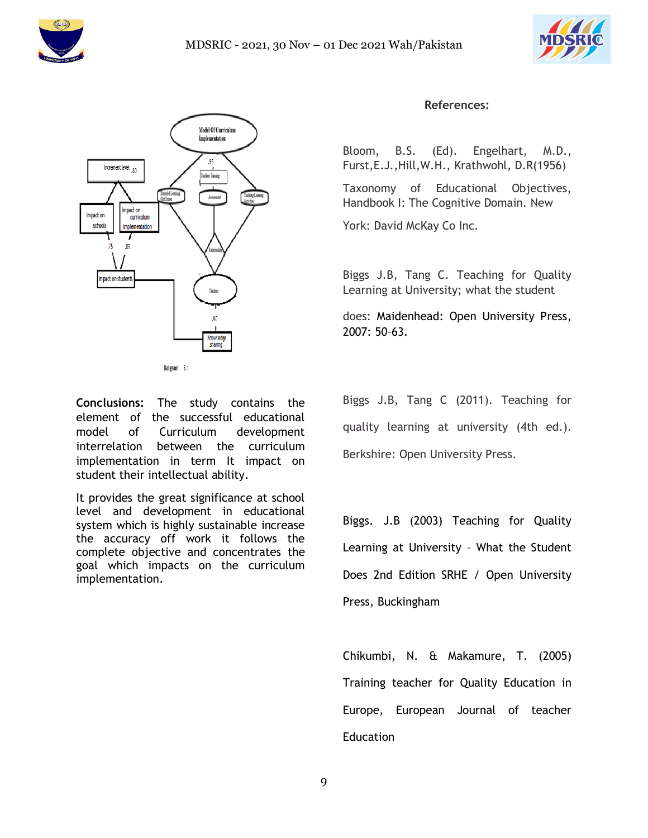





**Conclusions:** The study contains the element of the successful educational model of Curriculum development interrelation between the curriculum implementation in term It impact on student their intellectual ability.

It provides the great significance at school level and development in educational system which is highly sustainable increase the accuracy off work it follows the complete objective and concentrates the goal which impacts on the curriculum implementation.

#### **References:**

Bloom, B.S. (Ed). Engelhart, M.D., Furst,E.J.,Hill,W.H., Krathwohl, D.R(1956)

Taxonomy of Educational Objectives, Handbook I: The Cognitive Domain. New

York: David McKay Co Inc.

Biggs J.B, Tang C. Teaching for Quality Learning at University; what the student

does: Maidenhead: Open University Press, 2007: 50–63.

Biggs J.B, Tang C (2011). Teaching for quality learning at university (4th ed.). Berkshire: Open University Press.

Biggs. J.B (2003) Teaching for Quality Learning at University – What the Student Does 2nd Edition SRHE / Open University Press, Buckingham

Chikumbi, N. & Makamure, T. (2005) Training teacher for Quality Education in Europe, European Journal of teacher Education